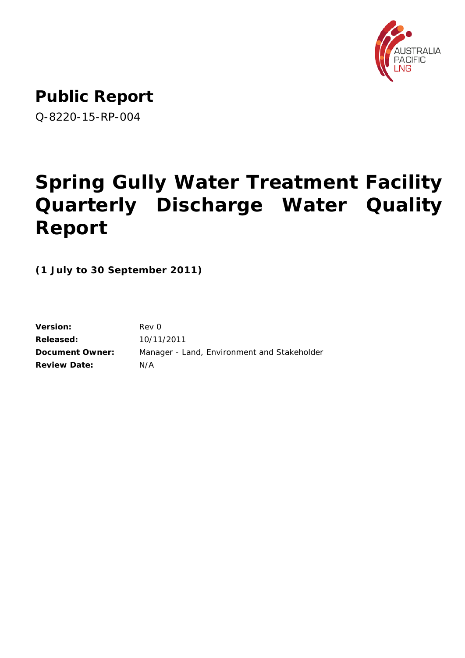

**Public Report**

Q-8220-15-RP-004

# **Spring Gully Water Treatment Facility Quarterly Discharge Water Quality Report**

**(1 July to 30 September 2011)**

| Rev 0                                       |
|---------------------------------------------|
| 10/11/2011                                  |
| Manager - Land, Environment and Stakeholder |
| N/A                                         |
|                                             |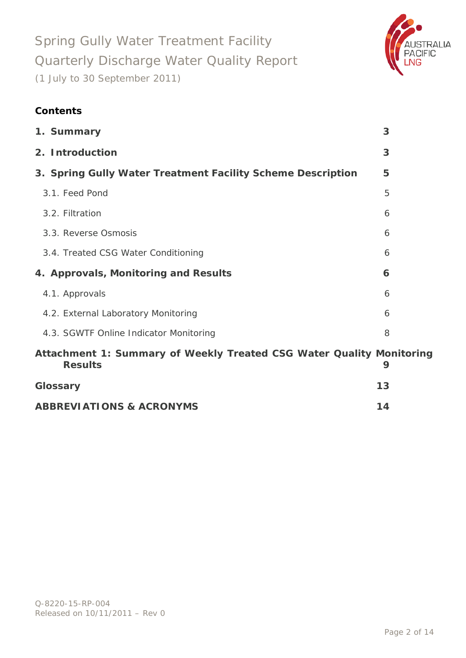

### **Contents**

| 1. Summary                                                                             | 3  |
|----------------------------------------------------------------------------------------|----|
| 2. Introduction                                                                        | 3  |
| 3. Spring Gully Water Treatment Facility Scheme Description                            | 5  |
| 3.1. Feed Pond                                                                         | 5  |
| 3.2. Filtration                                                                        | 6  |
| 3.3. Reverse Osmosis                                                                   | 6  |
| 3.4. Treated CSG Water Conditioning                                                    | 6  |
| 4. Approvals, Monitoring and Results                                                   | 6  |
| 4.1. Approvals                                                                         | 6  |
| 4.2. External Laboratory Monitoring                                                    | 6  |
| 4.3. SGWTF Online Indicator Monitoring                                                 | 8  |
| Attachment 1: Summary of Weekly Treated CSG Water Quality Monitoring<br><b>Results</b> | 9  |
| Glossary                                                                               | 13 |

| <b>ABBREVIATIONS &amp; ACRONYMS</b> | 14 |
|-------------------------------------|----|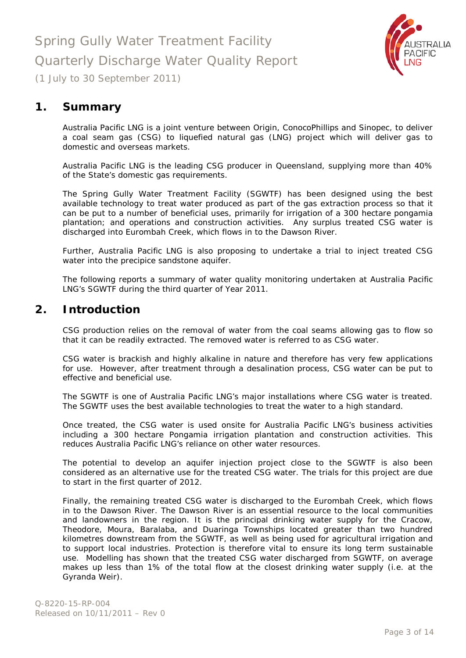

### <span id="page-2-0"></span>**1. Summary**

Australia Pacific LNG is a joint venture between Origin, ConocoPhillips and Sinopec, to deliver a coal seam gas (CSG) to liquefied natural gas (LNG) project which will deliver gas to domestic and overseas markets.

Australia Pacific LNG is the leading CSG producer in Queensland, supplying more than 40% of the State's domestic gas requirements.

The Spring Gully Water Treatment Facility (SGWTF) has been designed using the best available technology to treat water produced as part of the gas extraction process so that it can be put to a number of beneficial uses, primarily for irrigation of a 300 hectare pongamia plantation; and operations and construction activities. Any surplus treated CSG water is discharged into Eurombah Creek, which flows in to the Dawson River.

Further, Australia Pacific LNG is also proposing to undertake a trial to inject treated CSG water into the precipice sandstone aquifer.

The following reports a summary of water quality monitoring undertaken at Australia Pacific LNG's SGWTF during the third quarter of Year 2011.

### <span id="page-2-1"></span>**2. Introduction**

CSG production relies on the removal of water from the coal seams allowing gas to flow so that it can be readily extracted. The removed water is referred to as CSG water.

CSG water is brackish and highly alkaline in nature and therefore has very few applications for use. However, after treatment through a desalination process, CSG water can be put to effective and beneficial use.

The SGWTF is one of Australia Pacific LNG's major installations where CSG water is treated. The SGWTF uses the best available technologies to treat the water to a high standard.

Once treated, the CSG water is used onsite for Australia Pacific LNG's business activities including a 300 hectare Pongamia irrigation plantation and construction activities. This reduces Australia Pacific LNG's reliance on other water resources.

The potential to develop an aquifer injection project close to the SGWTF is also been considered as an alternative use for the treated CSG water. The trials for this project are due to start in the first quarter of 2012.

Finally, the remaining treated CSG water is discharged to the Eurombah Creek, which flows in to the Dawson River. The Dawson River is an essential resource to the local communities and landowners in the region. It is the principal drinking water supply for the Cracow, Theodore, Moura, Baralaba, and Duaringa Townships located greater than two hundred kilometres downstream from the SGWTF, as well as being used for agricultural irrigation and to support local industries. Protection is therefore vital to ensure its long term sustainable use. Modelling has shown that the treated CSG water discharged from SGWTF, on average makes up less than 1% of the total flow at the closest drinking water supply (i.e. at the Gyranda Weir).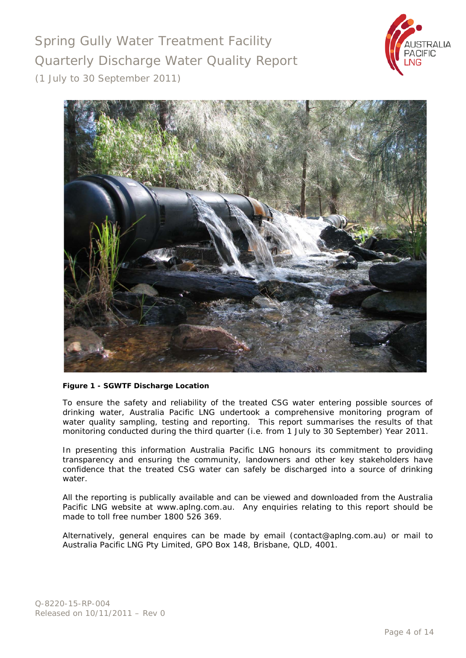



#### **Figure 1 - SGWTF Discharge Location**

To ensure the safety and reliability of the treated CSG water entering possible sources of drinking water, Australia Pacific LNG undertook a comprehensive monitoring program of water quality sampling, testing and reporting. This report summarises the results of that monitoring conducted during the third quarter (i.e. from 1 July to 30 September) Year 2011.

In presenting this information Australia Pacific LNG honours its commitment to providing transparency and ensuring the community, landowners and other key stakeholders have confidence that the treated CSG water can safely be discharged into a source of drinking water.

All the reporting is publically available and can be viewed and downloaded from the Australia Pacific LNG website at [www.aplng.com.au.](http://www.aplng.com.au/) Any enquiries relating to this report should be made to toll free number 1800 526 369.

Alternatively, general enquires can be made by email [\(contact@aplng.com.au\)](mailto:contact@aplng.com.au) or mail to Australia Pacific LNG Pty Limited, GPO Box 148, Brisbane, QLD, 4001.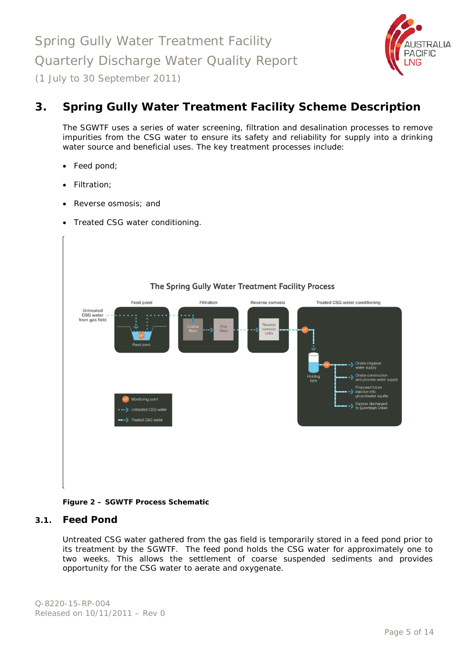

## <span id="page-4-0"></span>**3. Spring Gully Water Treatment Facility Scheme Description**

The SGWTF uses a series of water screening, filtration and desalination processes to remove impurities from the CSG water to ensure its safety and reliability for supply into a drinking water source and beneficial uses. The key treatment processes include:

- Feed pond;
- Filtration;
- Reverse osmosis; and
- Treated CSG water conditioning.



#### **Figure 2 – SGWTF Process Schematic**

#### <span id="page-4-1"></span>**3.1. Feed Pond**

Untreated CSG water gathered from the gas field is temporarily stored in a feed pond prior to its treatment by the SGWTF. The feed pond holds the CSG water for approximately one to two weeks. This allows the settlement of coarse suspended sediments and provides opportunity for the CSG water to aerate and oxygenate.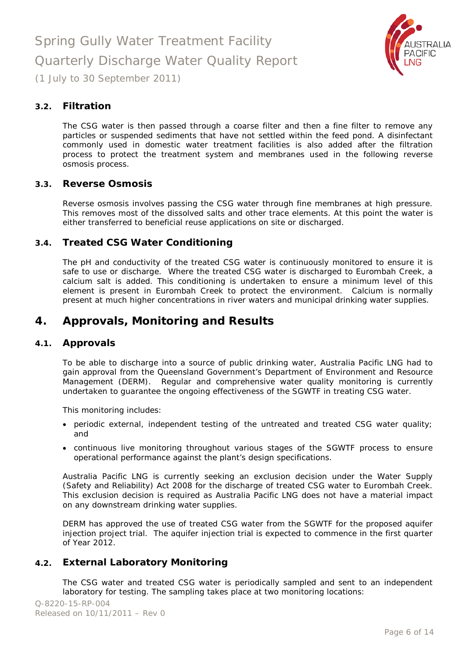

#### <span id="page-5-0"></span>**3.2. Filtration**

The CSG water is then passed through a coarse filter and then a fine filter to remove any particles or suspended sediments that have not settled within the feed pond. A disinfectant commonly used in domestic water treatment facilities is also added after the filtration process to protect the treatment system and membranes used in the following reverse osmosis process.

#### <span id="page-5-1"></span>**3.3. Reverse Osmosis**

Reverse osmosis involves passing the CSG water through fine membranes at high pressure. This removes most of the dissolved salts and other trace elements. At this point the water is either transferred to beneficial reuse applications on site or discharged.

#### <span id="page-5-2"></span>**3.4. Treated CSG Water Conditioning**

The pH and conductivity of the treated CSG water is continuously monitored to ensure it is safe to use or discharge. Where the treated CSG water is discharged to Eurombah Creek, a calcium salt is added. This conditioning is undertaken to ensure a minimum level of this element is present in Eurombah Creek to protect the environment. Calcium is normally present at much higher concentrations in river waters and municipal drinking water supplies.

### <span id="page-5-3"></span>**4. Approvals, Monitoring and Results**

#### <span id="page-5-4"></span>**4.1. Approvals**

To be able to discharge into a source of public drinking water, Australia Pacific LNG had to gain approval from the Queensland Government's Department of Environment and Resource Management (DERM). Regular and comprehensive water quality monitoring is currently undertaken to guarantee the ongoing effectiveness of the SGWTF in treating CSG water.

This monitoring includes:

- periodic external, independent testing of the untreated and treated CSG water quality; and
- continuous live monitoring throughout various stages of the SGWTF process to ensure operational performance against the plant's design specifications.

Australia Pacific LNG is currently seeking an exclusion decision under the *Water Supply (Safety and Reliability) Act 2008* for the discharge of treated CSG water to Eurombah Creek. This exclusion decision is required as Australia Pacific LNG does not have a material impact on any downstream drinking water supplies.

DERM has approved the use of treated CSG water from the SGWTF for the proposed aquifer injection project trial. The aquifer injection trial is expected to commence in the first quarter of Year 2012.

#### <span id="page-5-5"></span>**4.2. External Laboratory Monitoring**

The CSG water and treated CSG water is periodically sampled and sent to an independent laboratory for testing. The sampling takes place at two monitoring locations: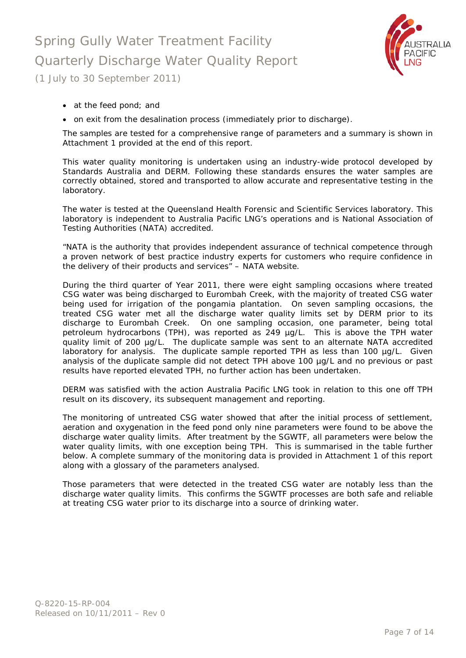# Spring Gully Water Treatment Facility Quarterly Discharge Water Quality Report



(1 July to 30 September 2011)

- at the feed pond; and
- on exit from the desalination process (immediately prior to discharge).

The samples are tested for a comprehensive range of parameters and a summary is shown in Attachment 1 provided at the end of this report.

This water quality monitoring is undertaken using an industry-wide protocol developed by Standards Australia and DERM. Following these standards ensures the water samples are correctly obtained, stored and transported to allow accurate and representative testing in the laboratory.

The water is tested at the Queensland Health Forensic and Scientific Services laboratory. This laboratory is independent to Australia Pacific LNG's operations and is National Association of Testing Authorities (NATA) accredited.

*"NATA is the authority that provides independent assurance of technical competence through a proven network of best practice industry experts for customers who require confidence in the delivery of their products and services"* – NATA website.

During the third quarter of Year 2011, there were eight sampling occasions where treated CSG water was being discharged to Eurombah Creek, with the majority of treated CSG water being used for irrigation of the pongamia plantation. On seven sampling occasions, the treated CSG water met all the discharge water quality limits set by DERM prior to its discharge to Eurombah Creek. On one sampling occasion, one parameter, being total petroleum hydrocarbons (TPH), was reported as 249 µg/L. This is above the TPH water quality limit of 200 µg/L. The duplicate sample was sent to an alternate NATA accredited laboratory for analysis. The duplicate sample reported TPH as less than 100 µg/L. Given analysis of the duplicate sample did not detect TPH above 100 µg/L and no previous or past results have reported elevated TPH, no further action has been undertaken.

DERM was satisfied with the action Australia Pacific LNG took in relation to this one off TPH result on its discovery, its subsequent management and reporting.

The monitoring of untreated CSG water showed that after the initial process of settlement, aeration and oxygenation in the feed pond only nine parameters were found to be above the discharge water quality limits. After treatment by the SGWTF, all parameters were below the water quality limits, with one exception being TPH. This is summarised in the table further below. A complete summary of the monitoring data is provided in Attachment 1 of this report along with a glossary of the parameters analysed.

Those parameters that were detected in the treated CSG water are notably less than the discharge water quality limits. This confirms the SGWTF processes are both safe and reliable at treating CSG water prior to its discharge into a source of drinking water.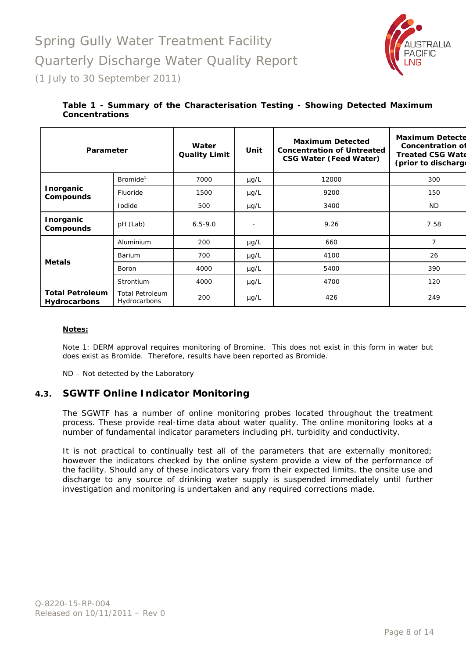

#### **Table 1 - Summary of the Characterisation Testing - Showing Detected Maximum Concentrations**

| Parameter                                     |                                        | Water<br><b>Quality Limit</b> | Unit      | <b>Maximum Detected</b><br><b>Concentration of Untreated</b><br><b>CSG Water (Feed Water)</b> | <b>Maximum Detecte</b><br><b>Concentration of</b><br><b>Treated CSG Wate</b><br>(prior to discharge |
|-----------------------------------------------|----------------------------------------|-------------------------------|-----------|-----------------------------------------------------------------------------------------------|-----------------------------------------------------------------------------------------------------|
|                                               | $Bromide^{1}$                          | 7000                          | $\mu$ g/L | 12000                                                                                         | 300                                                                                                 |
| <b>Inorganic</b><br><b>Compounds</b>          | Fluoride                               | 1500                          | $\mu$ g/L | 9200                                                                                          | 150                                                                                                 |
|                                               | <b>I</b> odide                         | 500                           | $\mu$ g/L | 3400                                                                                          | <b>ND</b>                                                                                           |
| <b>Inorganic</b><br><b>Compounds</b>          | pH (Lab)                               | $6.5 - 9.0$                   |           | 9.26                                                                                          | 7.58                                                                                                |
|                                               | Aluminium                              | 200                           | µg/L      | 660                                                                                           | 7                                                                                                   |
| <b>Metals</b>                                 | <b>Barium</b>                          | 700                           | $\mu$ g/L | 4100                                                                                          | 26                                                                                                  |
|                                               | 4000<br>Boron                          | $\mu$ g/L                     | 5400      | 390                                                                                           |                                                                                                     |
|                                               | Strontium                              | 4000                          | $\mu$ g/L | 4700                                                                                          | 120                                                                                                 |
| <b>Total Petroleum</b><br><b>Hydrocarbons</b> | <b>Total Petroleum</b><br>Hydrocarbons | 200                           | $\mu$ g/L | 426                                                                                           | 249                                                                                                 |

#### **Notes:**

Note 1: DERM approval requires monitoring of Bromine. This does not exist in this form in water but does exist as Bromide. Therefore, results have been reported as Bromide.

ND – Not detected by the Laboratory

#### <span id="page-7-0"></span>**4.3. SGWTF Online Indicator Monitoring**

The SGWTF has a number of online monitoring probes located throughout the treatment process. These provide real-time data about water quality. The online monitoring looks at a number of fundamental indicator parameters including pH, turbidity and conductivity.

It is not practical to continually test all of the parameters that are externally monitored; however the indicators checked by the online system provide a view of the performance of the facility. Should any of these indicators vary from their expected limits, the onsite use and discharge to any source of drinking water supply is suspended immediately until further investigation and monitoring is undertaken and any required corrections made.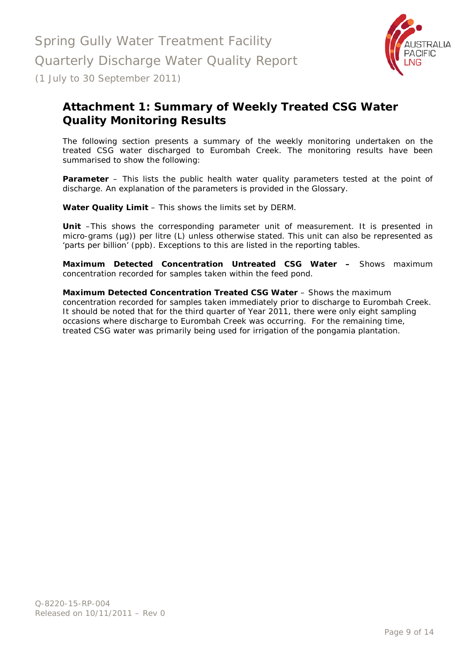

## <span id="page-8-0"></span>**Attachment 1: Summary of Weekly Treated CSG Water Quality Monitoring Results**

The following section presents a summary of the weekly monitoring undertaken on the treated CSG water discharged to Eurombah Creek. The monitoring results have been summarised to show the following:

**Parameter** – This lists the public health water quality parameters tested at the point of discharge. An explanation of the parameters is provided in the Glossary.

**Water Quality Limit** – This shows the limits set by DERM.

**Unit** –This shows the corresponding parameter unit of measurement. It is presented in micro-grams (µg)) per litre (L) unless otherwise stated. This unit can also be represented as 'parts per billion' (ppb). Exceptions to this are listed in the reporting tables.

**Maximum Detected Concentration Untreated CSG Water –** Shows maximum concentration recorded for samples taken within the feed pond.

**Maximum Detected Concentration Treated CSG Water** – Shows the maximum concentration recorded for samples taken immediately prior to discharge to Eurombah Creek. It should be noted that for the third quarter of Year 2011, there were only eight sampling occasions where discharge to Eurombah Creek was occurring. For the remaining time, treated CSG water was primarily being used for irrigation of the pongamia plantation.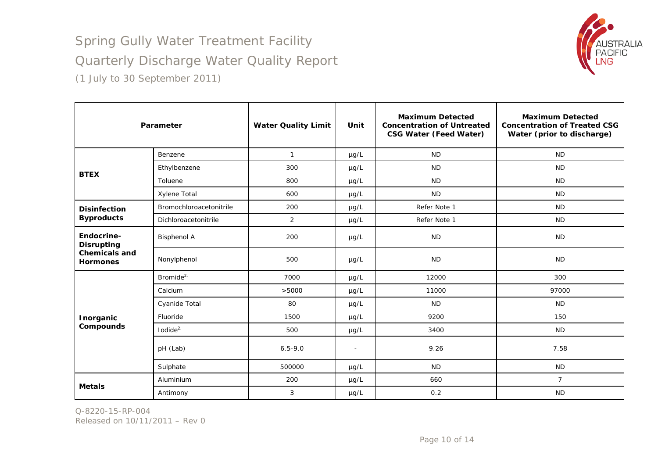

|                                         | Parameter               | <b>Water Quality Limit</b> | Unit           | <b>Maximum Detected</b><br><b>Concentration of Untreated</b><br><b>CSG Water (Feed Water)</b> | <b>Maximum Detected</b><br><b>Concentration of Treated CSG</b><br>Water (prior to discharge) |
|-----------------------------------------|-------------------------|----------------------------|----------------|-----------------------------------------------------------------------------------------------|----------------------------------------------------------------------------------------------|
|                                         | Benzene                 | $\mathbf{1}$               | $\mu g/L$      | <b>ND</b>                                                                                     | <b>ND</b>                                                                                    |
| <b>BTEX</b>                             | Ethylbenzene            | 300                        | $\mu$ g/L      | <b>ND</b>                                                                                     | <b>ND</b>                                                                                    |
|                                         | Toluene                 | 800                        | $\mu$ g/L      | <b>ND</b>                                                                                     | <b>ND</b>                                                                                    |
|                                         | Xylene Total            | 600                        | $\mu$ g/L      | <b>ND</b>                                                                                     | <b>ND</b>                                                                                    |
| <b>Disinfection</b>                     | Bromochloroacetonitrile | 200                        | $\mu g/L$      | Refer Note 1                                                                                  | <b>ND</b>                                                                                    |
| <b>Byproducts</b>                       | Dichloroacetonitrile    | 2                          | $\mu g/L$      | Refer Note 1                                                                                  | <b>ND</b>                                                                                    |
| Endocrine-<br><b>Disrupting</b>         | <b>Bisphenol A</b>      | 200                        | $\mu$ g/L      | <b>ND</b>                                                                                     | <b>ND</b>                                                                                    |
| <b>Chemicals and</b><br><b>Hormones</b> | Nonylphenol             | 500                        | $\mu$ g/L      | <b>ND</b>                                                                                     | <b>ND</b>                                                                                    |
|                                         | Bromide <sup>2.</sup>   | 7000                       | $\mu$ g/L      | 12000                                                                                         | 300                                                                                          |
|                                         | Calcium                 | >5000                      | $\mu g/L$      | 11000                                                                                         | 97000                                                                                        |
|                                         | Cyanide Total           | 80                         | $\mu$ g/L      | <b>ND</b>                                                                                     | <b>ND</b>                                                                                    |
| Inorganic                               | Fluoride                | 1500                       | $\mu$ g/L      | 9200                                                                                          | 150                                                                                          |
| Compounds                               | $I$ odide $2$           | 500                        | $\mu g/L$      | 3400                                                                                          | <b>ND</b>                                                                                    |
|                                         | pH (Lab)                | $6.5 - 9.0$                | $\blacksquare$ | 9.26                                                                                          | 7.58                                                                                         |
|                                         | Sulphate                | 500000                     | $\mu$ g/L      | <b>ND</b>                                                                                     | <b>ND</b>                                                                                    |
|                                         | Aluminium               | 200                        | $\mu g/L$      | 660                                                                                           | $\overline{7}$                                                                               |
| <b>Metals</b>                           | Antimony                | 3                          | $\mu g/L$      | 0.2                                                                                           | <b>ND</b>                                                                                    |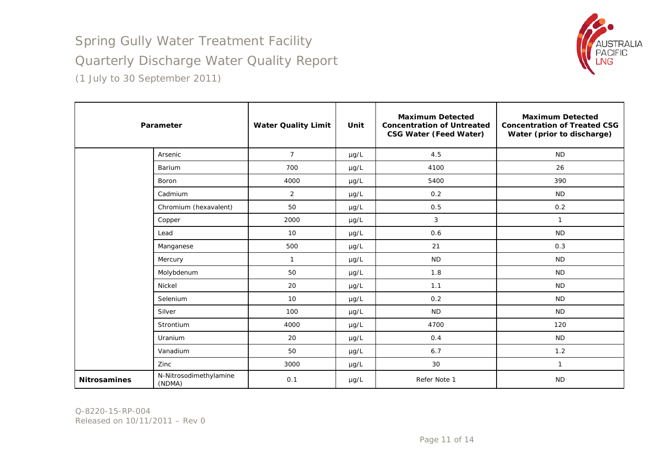

|                     | Parameter                        | <b>Water Quality Limit</b> | Unit      | <b>Maximum Detected</b><br><b>Concentration of Untreated</b><br><b>CSG Water (Feed Water)</b> | <b>Maximum Detected</b><br><b>Concentration of Treated CSG</b><br>Water (prior to discharge) |
|---------------------|----------------------------------|----------------------------|-----------|-----------------------------------------------------------------------------------------------|----------------------------------------------------------------------------------------------|
|                     | Arsenic                          | $\overline{7}$             | µg/L      | 4.5                                                                                           | <b>ND</b>                                                                                    |
|                     | Barium                           | 700                        | µg/L      | 4100                                                                                          | 26                                                                                           |
|                     | <b>Boron</b>                     | 4000                       | $\mu$ g/L | 5400                                                                                          | 390                                                                                          |
|                     | Cadmium                          | $\overline{2}$             | µg/L      | 0.2                                                                                           | <b>ND</b>                                                                                    |
|                     | Chromium (hexavalent)            | 50                         | µg/L      | 0.5                                                                                           | 0.2                                                                                          |
|                     | Copper                           | 2000                       | µg/L      | 3                                                                                             | $\mathbf{1}$                                                                                 |
|                     | Lead                             | 10                         | $\mu$ g/L | 0.6                                                                                           | <b>ND</b>                                                                                    |
|                     | Manganese                        | 500                        | $\mu$ g/L | 21                                                                                            | 0.3                                                                                          |
|                     | Mercury                          | $\mathbf{1}$               | $\mu$ g/L | <b>ND</b>                                                                                     | <b>ND</b>                                                                                    |
|                     | Molybdenum                       | 50                         | $\mu$ g/L | 1.8                                                                                           | <b>ND</b>                                                                                    |
|                     | Nickel                           | 20                         | µg/L      | 1.1                                                                                           | <b>ND</b>                                                                                    |
|                     | Selenium                         | 10                         | µg/L      | 0.2                                                                                           | <b>ND</b>                                                                                    |
|                     | Silver                           | 100                        | µg/L      | <b>ND</b>                                                                                     | <b>ND</b>                                                                                    |
|                     | Strontium                        | 4000                       | $\mu$ g/L | 4700                                                                                          | 120                                                                                          |
|                     | Uranium                          | 20                         | µg/L      | 0.4                                                                                           | <b>ND</b>                                                                                    |
|                     | Vanadium                         | 50                         | µg/L      | 6.7                                                                                           | 1.2                                                                                          |
|                     | Zinc                             | 3000                       | $\mu$ g/L | 30                                                                                            | $\mathbf{1}$                                                                                 |
| <b>Nitrosamines</b> | N-Nitrosodimethylamine<br>(NDMA) | 0.1                        | $\mu$ g/L | Refer Note 1                                                                                  | <b>ND</b>                                                                                    |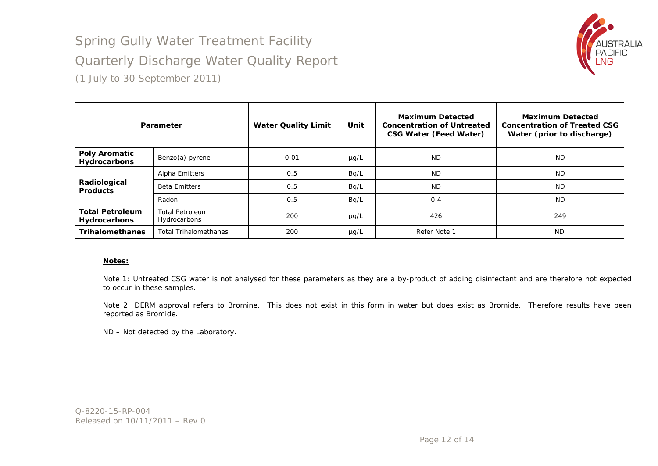## Spring Gully Water Treatment Facility Quarterly Discharge Water Quality Report



(1 July to 30 September 2011)

|                                               | Parameter                              | <b>Water Quality Limit</b> | Unit      | <b>Maximum Detected</b><br><b>Concentration of Untreated</b><br><b>CSG Water (Feed Water)</b> | <b>Maximum Detected</b><br><b>Concentration of Treated CSG</b><br>Water (prior to discharge) |
|-----------------------------------------------|----------------------------------------|----------------------------|-----------|-----------------------------------------------------------------------------------------------|----------------------------------------------------------------------------------------------|
| <b>Poly Aromatic</b><br>Hydrocarbons          | Benzo(a) pyrene                        | 0.01                       | $\mu$ g/L | <b>ND</b>                                                                                     | <b>ND</b>                                                                                    |
|                                               | Alpha Emitters                         | 0.5                        | Bq/L      | <b>ND</b>                                                                                     | <b>ND</b>                                                                                    |
| Radiological<br><b>Products</b>               | <b>Beta Emitters</b>                   | 0.5                        | Bq/L      | <b>ND</b>                                                                                     | <b>ND</b>                                                                                    |
|                                               | Radon                                  | 0.5                        | Bq/L      | 0.4                                                                                           | <b>ND</b>                                                                                    |
| <b>Total Petroleum</b><br><b>Hydrocarbons</b> | <b>Total Petroleum</b><br>Hydrocarbons | 200                        | $\mu$ g/L | 426                                                                                           | 249                                                                                          |
| <b>Trihalomethanes</b>                        | <b>Total Trihalomethanes</b>           | 200                        | $\mu$ g/L | Refer Note 1                                                                                  | <b>ND</b>                                                                                    |

#### **Notes:**

Note 1: Untreated CSG water is not analysed for these parameters as they are a by-product of adding disinfectant and are therefore not expected to occur in these samples.

Note 2: DERM approval refers to Bromine. This does not exist in this form in water but does exist as Bromide. Therefore results have been reported as Bromide.

ND – Not detected by the Laboratory.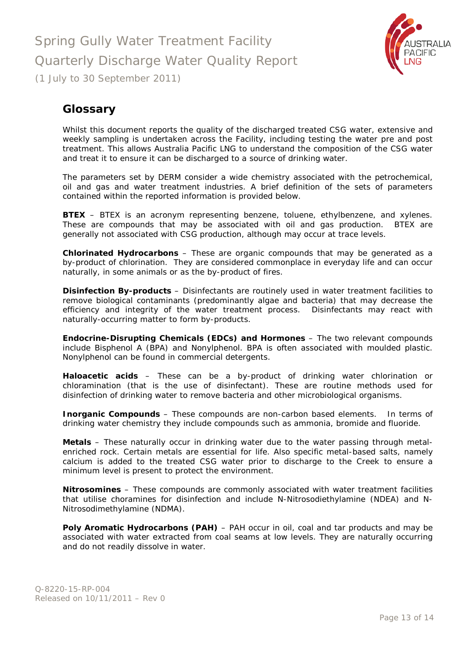

## <span id="page-12-0"></span>**Glossary**

Whilst this document reports the quality of the discharged treated CSG water, extensive and weekly sampling is undertaken across the Facility, including testing the water pre and post treatment. This allows Australia Pacific LNG to understand the composition of the CSG water and treat it to ensure it can be discharged to a source of drinking water.

The parameters set by DERM consider a wide chemistry associated with the petrochemical, oil and gas and water treatment industries. A brief definition of the sets of parameters contained within the reported information is provided below.

**BTEX** – BTEX is an acronym representing benzene, toluene, ethylbenzene, and xylenes. These are compounds that may be associated with oil and gas production. BTEX are generally not associated with CSG production, although may occur at trace levels.

**Chlorinated Hydrocarbons** – These are organic compounds that may be generated as a by-product of chlorination. They are considered commonplace in everyday life and can occur naturally, in some animals or as the by-product of fires.

**Disinfection By-products** – Disinfectants are routinely used in water treatment facilities to remove biological contaminants (predominantly algae and bacteria) that may decrease the efficiency and integrity of the water treatment process. Disinfectants may react with naturally-occurring matter to form by-products.

**Endocrine-Disrupting Chemicals (EDCs) and Hormones** – The two relevant compounds include Bisphenol A (BPA) and Nonylphenol. BPA is often associated with moulded plastic. Nonylphenol can be found in commercial detergents.

**Haloacetic acids** – These can be a by-product of drinking water chlorination or chloramination (that is the use of disinfectant). These are routine methods used for disinfection of drinking water to remove bacteria and other microbiological organisms.

**Inorganic Compounds** – These compounds are non-carbon based elements. In terms of drinking water chemistry they include compounds such as ammonia, bromide and fluoride.

**Metals** – These naturally occur in drinking water due to the water passing through metalenriched rock. Certain metals are essential for life. Also specific metal-based salts, namely calcium is added to the treated CSG water prior to discharge to the Creek to ensure a minimum level is present to protect the environment.

**Nitrosomines** – These compounds are commonly associated with water treatment facilities that utilise choramines for disinfection and include N-Nitrosodiethylamine (NDEA) and N-Nitrosodimethylamine (NDMA).

**Poly Aromatic Hydrocarbons (PAH)** – PAH occur in oil, coal and tar products and may be associated with water extracted from coal seams at low levels. They are naturally occurring and do not readily dissolve in water.